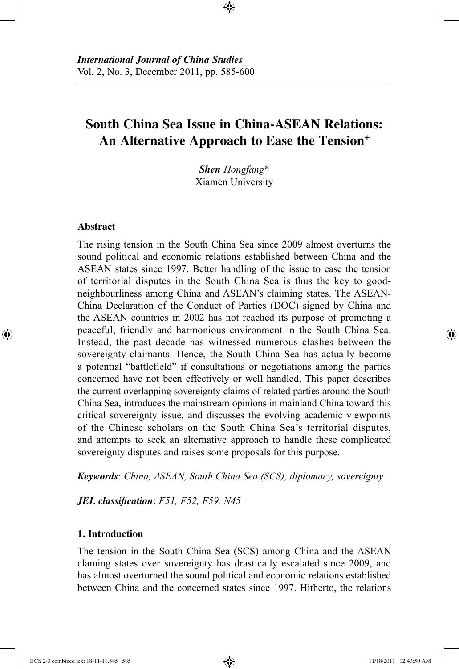# **South China Sea Issue in China-ASEAN Relations: An Alternative Approach to Ease the Tension+**

⊕

*Shen Hongfang*\* Xiamen University

## **Abstract**

⊕

The rising tension in the South China Sea since 2009 almost overturns the sound political and economic relations established between China and the ASEAN states since 1997. Better handling of the issue to ease the tension of territorial disputes in the South China Sea is thus the key to goodneighbourliness among China and ASEAN's claiming states. The ASEAN-China Declaration of the Conduct of Parties (DOC) signed by China and the ASEAN countries in 2002 has not reached its purpose of promoting a peaceful, friendly and harmonious environment in the South China Sea. Instead, the past decade has witnessed numerous clashes between the sovereignty-claimants. Hence, the South China Sea has actually become a potential "battlefield" if consultations or negotiations among the parties concerned have not been effectively or well handled. This paper describes the current overlapping sovereignty claims of related parties around the South China Sea, introduces the mainstream opinions in mainland China toward this critical sovereignty issue, and discusses the evolving academic viewpoints of the Chinese scholars on the South China Sea's territorial disputes, and attempts to seek an alternative approach to handle these complicated sovereignty disputes and raises some proposals for this purpose.

*Keywords*: *China, ASEAN, South China Sea (SCS), diplomacy, sovereignty*

*JEL classification*: *F51, F52, F59, N45*

#### **1. Introduction**

The tension in the South China Sea (SCS) among China and the ASEAN claming states over sovereignty has drastically escalated since 2009, and has almost overturned the sound political and economic relations established between China and the concerned states since 1997. Hitherto, the relations

IJCS 2-3 combined text 18-11-11.585 585 11/18/2011 12:43:50 AM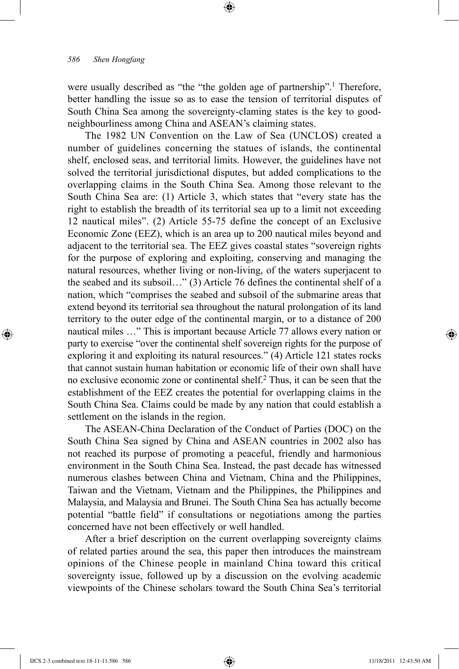were usually described as "the "the golden age of partnership".<sup>1</sup> Therefore, better handling the issue so as to ease the tension of territorial disputes of South China Sea among the sovereignty-claming states is the key to goodneighbourliness among China and ASEAN's claiming states.

⊕

The 1982 UN Convention on the Law of Sea (UNCLOS) created a number of guidelines concerning the statues of islands, the continental shelf, enclosed seas, and territorial limits. However, the guidelines have not solved the territorial jurisdictional disputes, but added complications to the overlapping claims in the South China Sea. Among those relevant to the South China Sea are: (1) Article 3, which states that "every state has the right to establish the breadth of its territorial sea up to a limit not exceeding 12 nautical miles". (2) Article 55-75 define the concept of an Exclusive Economic Zone (EEZ), which is an area up to 200 nautical miles beyond and adjacent to the territorial sea. The EEZ gives coastal states "sovereign rights for the purpose of exploring and exploiting, conserving and managing the natural resources, whether living or non-living, of the waters superjacent to the seabed and its subsoil…" (3) Article 76 defines the continental shelf of a nation, which "comprises the seabed and subsoil of the submarine areas that extend beyond its territorial sea throughout the natural prolongation of its land territory to the outer edge of the continental margin, or to a distance of 200 nautical miles …" This is important because Article 77 allows every nation or party to exercise "over the continental shelf sovereign rights for the purpose of exploring it and exploiting its natural resources." (4) Article 121 states rocks that cannot sustain human habitation or economic life of their own shall have no exclusive economic zone or continental shelf.<sup>2</sup> Thus, it can be seen that the establishment of the EEZ creates the potential for overlapping claims in the South China Sea. Claims could be made by any nation that could establish a settlement on the islands in the region.

The ASEAN-China Declaration of the Conduct of Parties (DOC) on the South China Sea signed by China and ASEAN countries in 2002 also has not reached its purpose of promoting a peaceful, friendly and harmonious environment in the South China Sea. Instead, the past decade has witnessed numerous clashes between China and Vietnam, China and the Philippines, Taiwan and the Vietnam, Vietnam and the Philippines, the Philippines and Malaysia, and Malaysia and Brunei. The South China Sea has actually become potential "battle field" if consultations or negotiations among the parties concerned have not been effectively or well handled.

After a brief description on the current overlapping sovereignty claims of related parties around the sea, this paper then introduces the mainstream opinions of the Chinese people in mainland China toward this critical sovereignty issue, followed up by a discussion on the evolving academic viewpoints of the Chinese scholars toward the South China Sea's territorial

⊕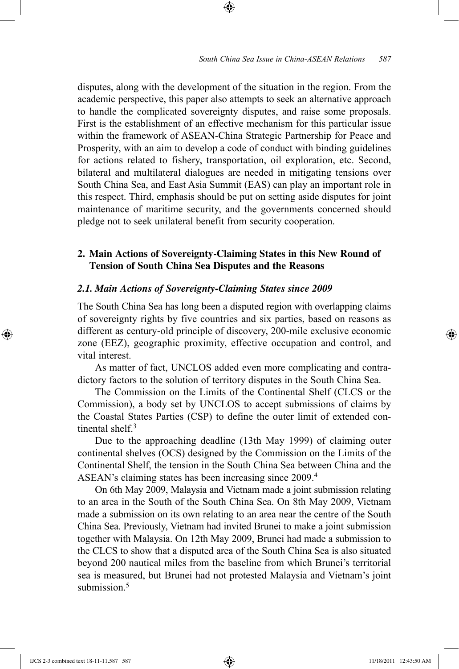disputes, along with the development of the situation in the region. From the academic perspective, this paper also attempts to seek an alternative approach to handle the complicated sovereignty disputes, and raise some proposals. First is the establishment of an effective mechanism for this particular issue within the framework of ASEAN-China Strategic Partnership for Peace and Prosperity, with an aim to develop a code of conduct with binding guidelines for actions related to fishery, transportation, oil exploration, etc. Second, bilateral and multilateral dialogues are needed in mitigating tensions over South China Sea, and East Asia Summit (EAS) can play an important role in this respect. Third, emphasis should be put on setting aside disputes for joint maintenance of maritime security, and the governments concerned should pledge not to seek unilateral benefit from security cooperation.

⊕

## **2. Main Actions of Sovereignty-Claiming States in this New Round of Tension of South China Sea Disputes and the Reasons**

#### *2.1. Main Actions of Sovereignty-Claiming States since 2009*

The South China Sea has long been a disputed region with overlapping claims of sovereignty rights by five countries and six parties, based on reasons as different as century-old principle of discovery, 200-mile exclusive economic zone (EEZ), geographic proximity, effective occupation and control, and vital interest.

As matter of fact, UNCLOS added even more complicating and contradictory factors to the solution of territory disputes in the South China Sea.

The Commission on the Limits of the Continental Shelf (CLCS or the Commission), a body set by UNCLOS to accept submissions of claims by the Coastal States Parties (CSP) to define the outer limit of extended continental shelf $3$ 

Due to the approaching deadline (13th May 1999) of claiming outer continental shelves (OCS) designed by the Commission on the Limits of the Continental Shelf, the tension in the South China Sea between China and the ASEAN's claiming states has been increasing since 2009.4

On 6th May 2009, Malaysia and Vietnam made a joint submission relating to an area in the South of the South China Sea. On 8th May 2009, Vietnam made a submission on its own relating to an area near the centre of the South China Sea. Previously, Vietnam had invited Brunei to make a joint submission together with Malaysia. On 12th May 2009, Brunei had made a submission to the CLCS to show that a disputed area of the South China Sea is also situated beyond 200 nautical miles from the baseline from which Brunei's territorial sea is measured, but Brunei had not protested Malaysia and Vietnam's joint submission $5$ 

IJCS 2-3 combined text 18-11-11.587 587 11/18/2011 12:43:50 AM

⊕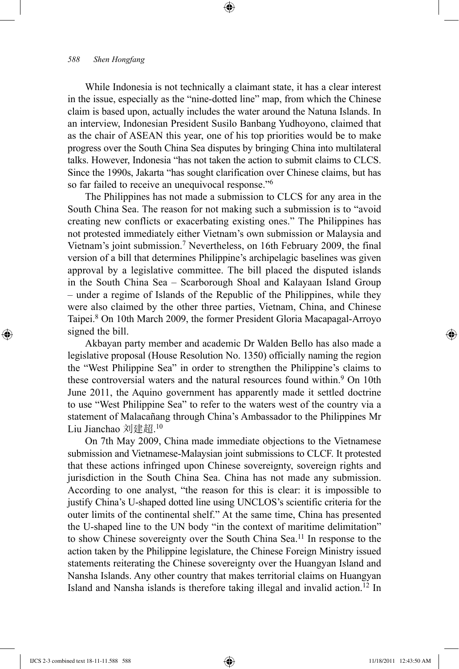While Indonesia is not technically a claimant state, it has a clear interest in the issue, especially as the "nine-dotted line" map, from which the Chinese claim is based upon, actually includes the water around the Natuna Islands. In an interview, Indonesian President Susilo Banbang Yudhoyono, claimed that as the chair of ASEAN this year, one of his top priorities would be to make progress over the South China Sea disputes by bringing China into multilateral talks. However, Indonesia "has not taken the action to submit claims to CLCS. Since the 1990s, Jakarta "has sought clarification over Chinese claims, but has so far failed to receive an unequivocal response."<sup>6</sup>

⊕

The Philippines has not made a submission to CLCS for any area in the South China Sea. The reason for not making such a submission is to "avoid creating new conflicts or exacerbating existing ones." The Philippines has not protested immediately either Vietnam's own submission or Malaysia and Vietnam's joint submission.7 Nevertheless, on 16th February 2009, the final version of a bill that determines Philippine's archipelagic baselines was given approval by a legislative committee. The bill placed the disputed islands in the South China Sea – Scarborough Shoal and Kalayaan Island Group – under a regime of Islands of the Republic of the Philippines, while they were also claimed by the other three parties, Vietnam, China, and Chinese Taipei.<sup>8</sup> On 10th March 2009, the former President Gloria Macapagal-Arroyo signed the bill.

Akbayan party member and academic Dr Walden Bello has also made a legislative proposal (House Resolution No. 1350) officially naming the region the "West Philippine Sea" in order to strengthen the Philippine's claims to these controversial waters and the natural resources found within.<sup>9</sup> On 10th June 2011, the Aquino government has apparently made it settled doctrine to use "West Philippine Sea" to refer to the waters west of the country via a statement of Malacañang through China's Ambassador to the Philippines Mr Liu Jianchao 刘建超.<sup>10</sup>

On 7th May 2009, China made immediate objections to the Vietnamese submission and Vietnamese-Malaysian joint submissions to CLCF. It protested that these actions infringed upon Chinese sovereignty, sovereign rights and jurisdiction in the South China Sea. China has not made any submission. According to one analyst, "the reason for this is clear: it is impossible to justify China's U-shaped dotted line using UNCLOS's scientific criteria for the outer limits of the continental shelf." At the same time, China has presented the U-shaped line to the UN body "in the context of maritime delimitation" to show Chinese sovereignty over the South China Sea.11 In response to the action taken by the Philippine legislature, the Chinese Foreign Ministry issued statements reiterating the Chinese sovereignty over the Huangyan Island and Nansha Islands. Any other country that makes territorial claims on Huangyan Island and Nansha islands is therefore taking illegal and invalid action.12 In

⊕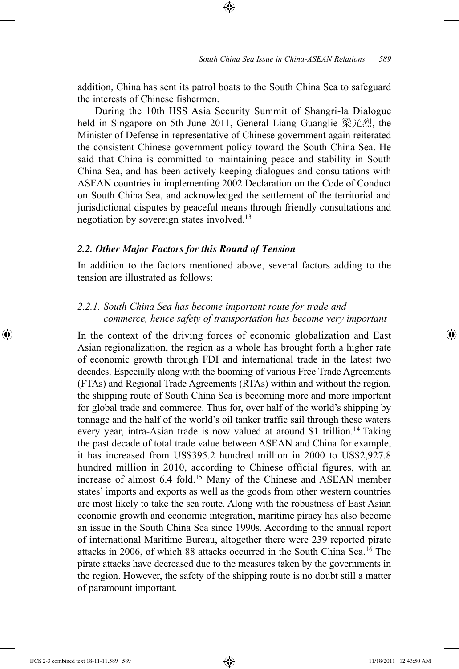addition, China has sent its patrol boats to the South China Sea to safeguard the interests of Chinese fishermen.

⊕

During the 10th IISS Asia Security Summit of Shangri-la Dialogue held in Singapore on 5th June 2011, General Liang Guanglie 梁光烈, the Minister of Defense in representative of Chinese government again reiterated the consistent Chinese government policy toward the South China Sea. He said that China is committed to maintaining peace and stability in South China Sea, and has been actively keeping dialogues and consultations with ASEAN countries in implementing 2002 Declaration on the Code of Conduct on South China Sea, and acknowledged the settlement of the territorial and jurisdictional disputes by peaceful means through friendly consultations and negotiation by sovereign states involved.13

#### *2.2. Other Major Factors for this Round of Tension*

In addition to the factors mentioned above, several factors adding to the tension are illustrated as follows:

## *2.2.1. South China Sea has become important route for trade and commerce, hence safety of transportation has become very important*

In the context of the driving forces of economic globalization and East Asian regionalization, the region as a whole has brought forth a higher rate of economic growth through FDI and international trade in the latest two decades. Especially along with the booming of various Free Trade Agreements (FTAs) and Regional Trade Agreements (RTAs) within and without the region, the shipping route of South China Sea is becoming more and more important for global trade and commerce. Thus for, over half of the world's shipping by tonnage and the half of the world's oil tanker traffic sail through these waters every year, intra-Asian trade is now valued at around \$1 trillion.<sup>14</sup> Taking the past decade of total trade value between ASEAN and China for example, it has increased from US\$395.2 hundred million in 2000 to US\$2,927.8 hundred million in 2010, according to Chinese official figures, with an increase of almost 6.4 fold.15 Many of the Chinese and ASEAN member states' imports and exports as well as the goods from other western countries are most likely to take the sea route. Along with the robustness of East Asian economic growth and economic integration, maritime piracy has also become an issue in the South China Sea since 1990s. According to the annual report of international Maritime Bureau, altogether there were 239 reported pirate attacks in 2006, of which 88 attacks occurred in the South China Sea.16 The pirate attacks have decreased due to the measures taken by the governments in the region. However, the safety of the shipping route is no doubt still a matter of paramount important.

⊕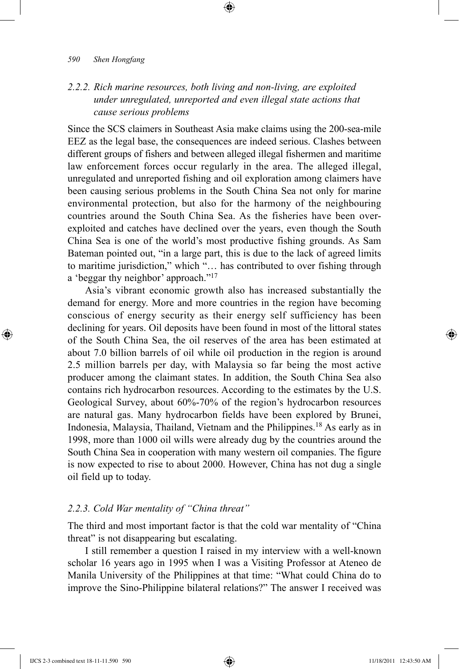# *2.2.2. Rich marine resources, both living and non-living, are exploited under unregulated, unreported and even illegal state actions that cause serious problems*

⊕

Since the SCS claimers in Southeast Asia make claims using the 200-sea-mile EEZ as the legal base, the consequences are indeed serious. Clashes between different groups of fishers and between alleged illegal fishermen and maritime law enforcement forces occur regularly in the area. The alleged illegal, unregulated and unreported fishing and oil exploration among claimers have been causing serious problems in the South China Sea not only for marine environmental protection, but also for the harmony of the neighbouring countries around the South China Sea. As the fisheries have been overexploited and catches have declined over the years, even though the South China Sea is one of the world's most productive fishing grounds. As Sam Bateman pointed out, "in a large part, this is due to the lack of agreed limits to maritime jurisdiction," which "… has contributed to over fishing through a 'beggar thy neighbor' approach."17

Asia's vibrant economic growth also has increased substantially the demand for energy. More and more countries in the region have becoming conscious of energy security as their energy self sufficiency has been declining for years. Oil deposits have been found in most of the littoral states of the South China Sea, the oil reserves of the area has been estimated at about 7.0 billion barrels of oil while oil production in the region is around 2.5 million barrels per day, with Malaysia so far being the most active producer among the claimant states. In addition, the South China Sea also contains rich hydrocarbon resources. According to the estimates by the U.S. Geological Survey, about 60%-70% of the region's hydrocarbon resources are natural gas. Many hydrocarbon fields have been explored by Brunei, Indonesia, Malaysia, Thailand, Vietnam and the Philippines.<sup>18</sup> As early as in 1998, more than 1000 oil wills were already dug by the countries around the South China Sea in cooperation with many western oil companies. The figure is now expected to rise to about 2000. However, China has not dug a single oil field up to today.

## *2.2.3. Cold War mentality of "China threat"*

The third and most important factor is that the cold war mentality of "China threat" is not disappearing but escalating.

I still remember a question I raised in my interview with a well-known scholar 16 years ago in 1995 when I was a Visiting Professor at Ateneo de Manila University of the Philippines at that time: "What could China do to improve the Sino-Philippine bilateral relations?" The answer I received was

⊕

↔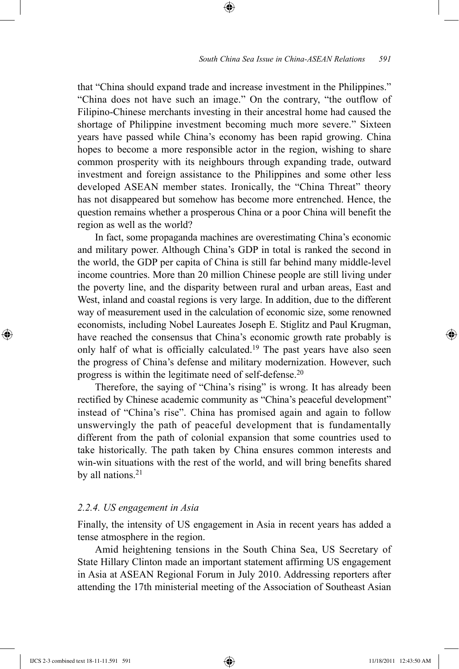that "China should expand trade and increase investment in the Philippines." "China does not have such an image." On the contrary, "the outflow of Filipino-Chinese merchants investing in their ancestral home had caused the shortage of Philippine investment becoming much more severe." Sixteen years have passed while China's economy has been rapid growing. China hopes to become a more responsible actor in the region, wishing to share common prosperity with its neighbours through expanding trade, outward investment and foreign assistance to the Philippines and some other less developed ASEAN member states. Ironically, the "China Threat" theory has not disappeared but somehow has become more entrenched. Hence, the question remains whether a prosperous China or a poor China will benefit the region as well as the world?

⊕

In fact, some propaganda machines are overestimating China's economic and military power. Although China's GDP in total is ranked the second in the world, the GDP per capita of China is still far behind many middle-level income countries. More than 20 million Chinese people are still living under the poverty line, and the disparity between rural and urban areas, East and West, inland and coastal regions is very large. In addition, due to the different way of measurement used in the calculation of economic size, some renowned economists, including Nobel Laureates Joseph E. Stiglitz and Paul Krugman, have reached the consensus that China's economic growth rate probably is only half of what is officially calculated.<sup>19</sup> The past years have also seen the progress of China's defense and military modernization. However, such progress is within the legitimate need of self-defense.20

Therefore, the saying of "China's rising" is wrong. It has already been rectified by Chinese academic community as "China's peaceful development" instead of "China's rise". China has promised again and again to follow unswervingly the path of peaceful development that is fundamentally different from the path of colonial expansion that some countries used to take historically. The path taken by China ensures common interests and win-win situations with the rest of the world, and will bring benefits shared by all nations. $21$ 

## *2.2.4. US engagement in Asia*

Finally, the intensity of US engagement in Asia in recent years has added a tense atmosphere in the region.

Amid heightening tensions in the South China Sea, US Secretary of State Hillary Clinton made an important statement affirming US engagement in Asia at ASEAN Regional Forum in July 2010. Addressing reporters after attending the 17th ministerial meeting of the Association of Southeast Asian

⊕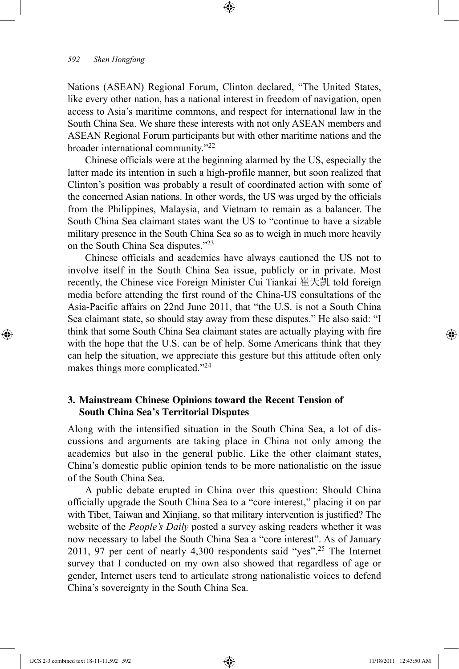Nations (ASEAN) Regional Forum, Clinton declared, "The United States, like every other nation, has a national interest in freedom of navigation, open access to Asia's maritime commons, and respect for international law in the South China Sea. We share these interests with not only ASEAN members and ASEAN Regional Forum participants but with other maritime nations and the broader international community."22

⊕

Chinese officials were at the beginning alarmed by the US, especially the latter made its intention in such a high-profile manner, but soon realized that Clinton's position was probably a result of coordinated action with some of the concerned Asian nations. In other words, the US was urged by the officials from the Philippines, Malaysia, and Vietnam to remain as a balancer. The South China Sea claimant states want the US to "continue to have a sizable military presence in the South China Sea so as to weigh in much more heavily on the South China Sea disputes."23

Chinese officials and academics have always cautioned the US not to involve itself in the South China Sea issue, publicly or in private. Most recently, the Chinese vice Foreign Minister Cui Tiankai 崔天凯 told foreign media before attending the first round of the China-US consultations of the Asia-Pacific affairs on 22nd June 2011, that "the U.S. is not a South China Sea claimant state, so should stay away from these disputes." He also said: "I think that some South China Sea claimant states are actually playing with fire with the hope that the U.S. can be of help. Some Americans think that they can help the situation, we appreciate this gesture but this attitude often only makes things more complicated."24

## **3. Mainstream Chinese Opinions toward the Recent Tension of South China Sea's Territorial Disputes**

Along with the intensified situation in the South China Sea, a lot of discussions and arguments are taking place in China not only among the academics but also in the general public. Like the other claimant states, China's domestic public opinion tends to be more nationalistic on the issue of the South China Sea.

A public debate erupted in China over this question: Should China officially upgrade the South China Sea to a "core interest," placing it on par with Tibet, Taiwan and Xinjiang, so that military intervention is justified? The website of the *People's Daily* posted a survey asking readers whether it was now necessary to label the South China Sea a "core interest". As of January 2011, 97 per cent of nearly 4,300 respondents said "yes".25 The Internet survey that I conducted on my own also showed that regardless of age or gender, Internet users tend to articulate strong nationalistic voices to defend China's sovereignty in the South China Sea.

IJCS 2-3 combined text 18-11-11.592 592 11/18/2011 12:43:50 AM

⊕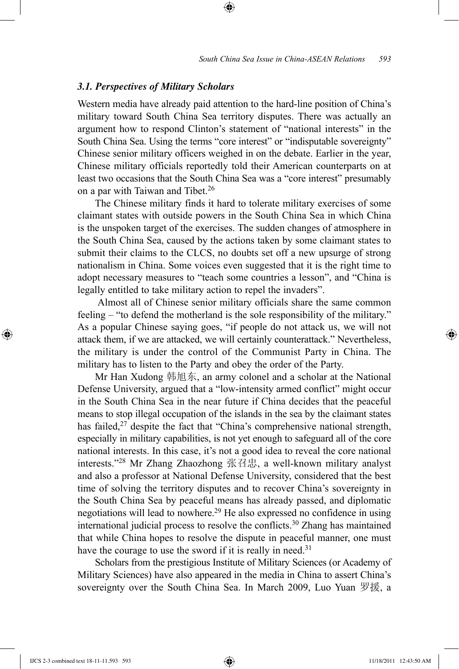#### *3.1. Perspectives of Military Scholars*

Western media have already paid attention to the hard-line position of China's military toward South China Sea territory disputes. There was actually an argument how to respond Clinton's statement of "national interests" in the South China Sea. Using the terms "core interest" or "indisputable sovereignty" Chinese senior military officers weighed in on the debate. Earlier in the year, Chinese military officials reportedly told their American counterparts on at least two occasions that the South China Sea was a "core interest" presumably on a par with Taiwan and Tibet.<sup>26</sup>

⊕

The Chinese military finds it hard to tolerate military exercises of some claimant states with outside powers in the South China Sea in which China is the unspoken target of the exercises. The sudden changes of atmosphere in the South China Sea, caused by the actions taken by some claimant states to submit their claims to the CLCS, no doubts set off a new upsurge of strong nationalism in China. Some voices even suggested that it is the right time to adopt necessary measures to "teach some countries a lesson", and "China is legally entitled to take military action to repel the invaders".

Almost all of Chinese senior military officials share the same common feeling – "to defend the motherland is the sole responsibility of the military." As a popular Chinese saying goes, "if people do not attack us, we will not attack them, if we are attacked, we will certainly counterattack." Nevertheless, the military is under the control of the Communist Party in China. The military has to listen to the Party and obey the order of the Party.

Mr Han Xudong 韩旭东, an army colonel and a scholar at the National Defense University, argued that a "low-intensity armed conflict" might occur in the South China Sea in the near future if China decides that the peaceful means to stop illegal occupation of the islands in the sea by the claimant states has failed, $27$  despite the fact that "China's comprehensive national strength, especially in military capabilities, is not yet enough to safeguard all of the core national interests. In this case, it's not a good idea to reveal the core national interests."28 Mr Zhang Zhaozhong 张召忠, a well-known military analyst and also a professor at National Defense University, considered that the best time of solving the territory disputes and to recover China's sovereignty in the South China Sea by peaceful means has already passed, and diplomatic negotiations will lead to nowhere.29 He also expressed no confidence in using international judicial process to resolve the conflicts.<sup>30</sup> Zhang has maintained that while China hopes to resolve the dispute in peaceful manner, one must have the courage to use the sword if it is really in need.<sup>31</sup>

Scholars from the prestigious Institute of Military Sciences (or Academy of Military Sciences) have also appeared in the media in China to assert China's sovereignty over the South China Sea. In March 2009, Luo Yuan 罗援, a

⊕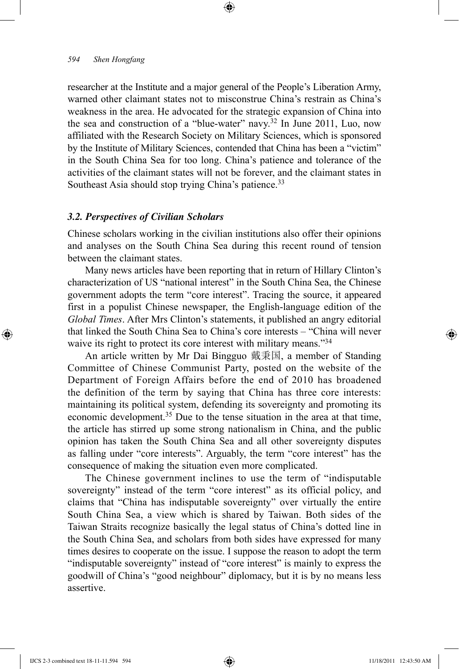researcher at the Institute and a major general of the People's Liberation Army, warned other claimant states not to misconstrue China's restrain as China's weakness in the area. He advocated for the strategic expansion of China into the sea and construction of a "blue-water" navy.<sup>32</sup> In June 2011, Luo, now affiliated with the Research Society on Military Sciences, which is sponsored by the Institute of Military Sciences, contended that China has been a "victim" in the South China Sea for too long. China's patience and tolerance of the activities of the claimant states will not be forever, and the claimant states in Southeast Asia should stop trying China's patience.<sup>33</sup>

⊕

## *3.2. Perspectives of Civilian Scholars*

Chinese scholars working in the civilian institutions also offer their opinions and analyses on the South China Sea during this recent round of tension between the claimant states.

Many news articles have been reporting that in return of Hillary Clinton's characterization of US "national interest" in the South China Sea, the Chinese government adopts the term "core interest". Tracing the source, it appeared first in a populist Chinese newspaper, the English-language edition of the *Global Times*. After Mrs Clinton's statements, it published an angry editorial that linked the South China Sea to China's core interests – "China will never waive its right to protect its core interest with military means."<sup>34</sup>

An article written by Mr Dai Bingguo 戴秉国, a member of Standing Committee of Chinese Communist Party, posted on the website of the Department of Foreign Affairs before the end of 2010 has broadened the definition of the term by saying that China has three core interests: maintaining its political system, defending its sovereignty and promoting its economic development.<sup>35</sup> Due to the tense situation in the area at that time, the article has stirred up some strong nationalism in China, and the public opinion has taken the South China Sea and all other sovereignty disputes as falling under "core interests". Arguably, the term "core interest" has the consequence of making the situation even more complicated.

The Chinese government inclines to use the term of "indisputable sovereignty" instead of the term "core interest" as its official policy, and claims that "China has indisputable sovereignty" over virtually the entire South China Sea, a view which is shared by Taiwan. Both sides of the Taiwan Straits recognize basically the legal status of China's dotted line in the South China Sea, and scholars from both sides have expressed for many times desires to cooperate on the issue. I suppose the reason to adopt the term "indisputable sovereignty" instead of "core interest" is mainly to express the goodwill of China's "good neighbour" diplomacy, but it is by no means less assertive.

⊕

↔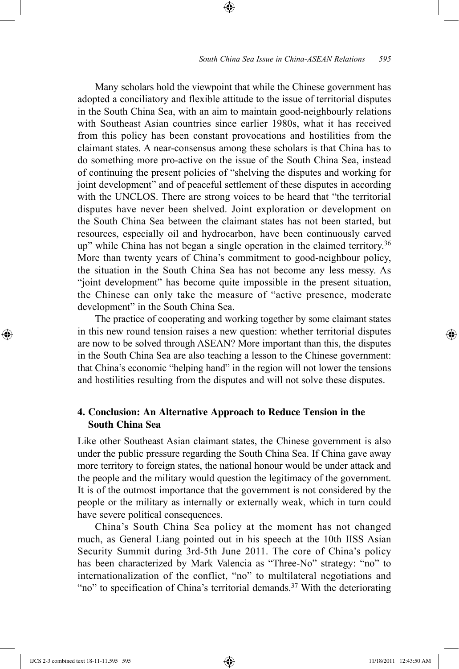Many scholars hold the viewpoint that while the Chinese government has adopted a conciliatory and flexible attitude to the issue of territorial disputes in the South China Sea, with an aim to maintain good-neighbourly relations with Southeast Asian countries since earlier 1980s, what it has received from this policy has been constant provocations and hostilities from the claimant states. A near-consensus among these scholars is that China has to do something more pro-active on the issue of the South China Sea, instead of continuing the present policies of "shelving the disputes and working for joint development" and of peaceful settlement of these disputes in according with the UNCLOS. There are strong voices to be heard that "the territorial disputes have never been shelved. Joint exploration or development on the South China Sea between the claimant states has not been started, but resources, especially oil and hydrocarbon, have been continuously carved up" while China has not began a single operation in the claimed territory.36 More than twenty years of China's commitment to good-neighbour policy, the situation in the South China Sea has not become any less messy. As "joint development" has become quite impossible in the present situation, the Chinese can only take the measure of "active presence, moderate development" in the South China Sea.

⊕

The practice of cooperating and working together by some claimant states in this new round tension raises a new question: whether territorial disputes are now to be solved through ASEAN? More important than this, the disputes in the South China Sea are also teaching a lesson to the Chinese government: that China's economic "helping hand" in the region will not lower the tensions and hostilities resulting from the disputes and will not solve these disputes.

## **4. Conclusion: An Alternative Approach to Reduce Tension in the South China Sea**

Like other Southeast Asian claimant states, the Chinese government is also under the public pressure regarding the South China Sea. If China gave away more territory to foreign states, the national honour would be under attack and the people and the military would question the legitimacy of the government. It is of the outmost importance that the government is not considered by the people or the military as internally or externally weak, which in turn could have severe political consequences.

China's South China Sea policy at the moment has not changed much, as General Liang pointed out in his speech at the 10th IISS Asian Security Summit during 3rd-5th June 2011. The core of China's policy has been characterized by Mark Valencia as "Three-No" strategy: "no" to internationalization of the conflict, "no" to multilateral negotiations and "no" to specification of China's territorial demands.<sup>37</sup> With the deteriorating

IJCS 2-3 combined text 18-11-11.595 595 11/18/2011 12:43:50 AM

⊕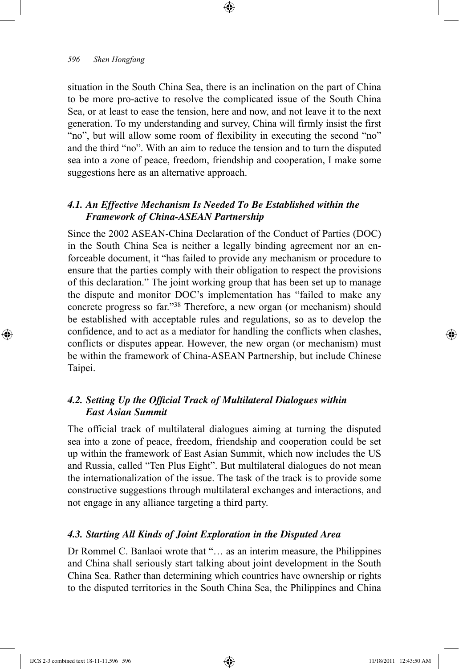situation in the South China Sea, there is an inclination on the part of China to be more pro-active to resolve the complicated issue of the South China Sea, or at least to ease the tension, here and now, and not leave it to the next generation. To my understanding and survey, China will firmly insist the first "no", but will allow some room of flexibility in executing the second "no" and the third "no". With an aim to reduce the tension and to turn the disputed sea into a zone of peace, freedom, friendship and cooperation, I make some suggestions here as an alternative approach.

⊕

# *4.1. An Effective Mechanism Is Needed To Be Established within the Framework of China-ASEAN Partnership*

Since the 2002 ASEAN-China Declaration of the Conduct of Parties (DOC) in the South China Sea is neither a legally binding agreement nor an enforceable document, it "has failed to provide any mechanism or procedure to ensure that the parties comply with their obligation to respect the provisions of this declaration." The joint working group that has been set up to manage the dispute and monitor DOC's implementation has "failed to make any concrete progress so far."38 Therefore, a new organ (or mechanism) should be established with acceptable rules and regulations, so as to develop the confidence, and to act as a mediator for handling the conflicts when clashes, conflicts or disputes appear. However, the new organ (or mechanism) must be within the framework of China-ASEAN Partnership, but include Chinese Taipei.

# *4.2. Setting Up the Official Track of Multilateral Dialogues within East Asian Summit*

The official track of multilateral dialogues aiming at turning the disputed sea into a zone of peace, freedom, friendship and cooperation could be set up within the framework of East Asian Summit, which now includes the US and Russia, called "Ten Plus Eight". But multilateral dialogues do not mean the internationalization of the issue. The task of the track is to provide some constructive suggestions through multilateral exchanges and interactions, and not engage in any alliance targeting a third party.

#### *4.3. Starting All Kinds of Joint Exploration in the Disputed Area*

Dr Rommel C. Banlaoi wrote that "… as an interim measure, the Philippines and China shall seriously start talking about joint development in the South China Sea. Rather than determining which countries have ownership or rights to the disputed territories in the South China Sea, the Philippines and China

IJCS 2-3 combined text 18-11-11.596 596 11/18/2011 12:43:50 AM

⊕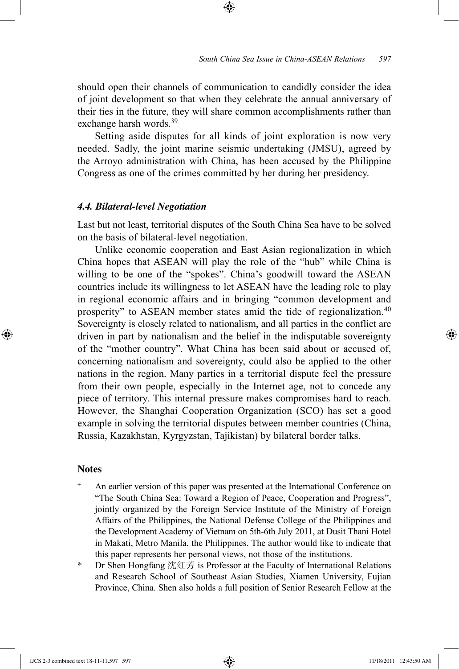should open their channels of communication to candidly consider the idea of joint development so that when they celebrate the annual anniversary of their ties in the future, they will share common accomplishments rather than exchange harsh words.39

⊕

Setting aside disputes for all kinds of joint exploration is now very needed. Sadly, the joint marine seismic undertaking (JMSU), agreed by the Arroyo administration with China, has been accused by the Philippine Congress as one of the crimes committed by her during her presidency.

#### *4.4. Bilateral-level Negotiation*

Last but not least, territorial disputes of the South China Sea have to be solved on the basis of bilateral-level negotiation.

Unlike economic cooperation and East Asian regionalization in which China hopes that ASEAN will play the role of the "hub" while China is willing to be one of the "spokes". China's goodwill toward the ASEAN countries include its willingness to let ASEAN have the leading role to play in regional economic affairs and in bringing "common development and prosperity" to ASEAN member states amid the tide of regionalization.40 Sovereignty is closely related to nationalism, and all parties in the conflict are driven in part by nationalism and the belief in the indisputable sovereignty of the "mother country". What China has been said about or accused of, concerning nationalism and sovereignty, could also be applied to the other nations in the region. Many parties in a territorial dispute feel the pressure from their own people, especially in the Internet age, not to concede any piece of territory. This internal pressure makes compromises hard to reach. However, the Shanghai Cooperation Organization (SCO) has set a good example in solving the territorial disputes between member countries (China, Russia, Kazakhstan, Kyrgyzstan, Tajikistan) by bilateral border talks.

#### **Notes**

⊕

- An earlier version of this paper was presented at the International Conference on "The South China Sea: Toward a Region of Peace, Cooperation and Progress", jointly organized by the Foreign Service Institute of the Ministry of Foreign Affairs of the Philippines, the National Defense College of the Philippines and the Development Academy of Vietnam on 5th-6th July 2011, at Dusit Thani Hotel in Makati, Metro Manila, the Philippines. The author would like to indicate that this paper represents her personal views, not those of the institutions.
- Dr Shen Hongfang 沈红芳 is Professor at the Faculty of International Relations and Research School of Southeast Asian Studies, Xiamen University, Fujian Province, China. Shen also holds a full position of Senior Research Fellow at the

IJCS 2-3 combined text 18-11-11.597 597 **11/18/2011** 12:43:50 AM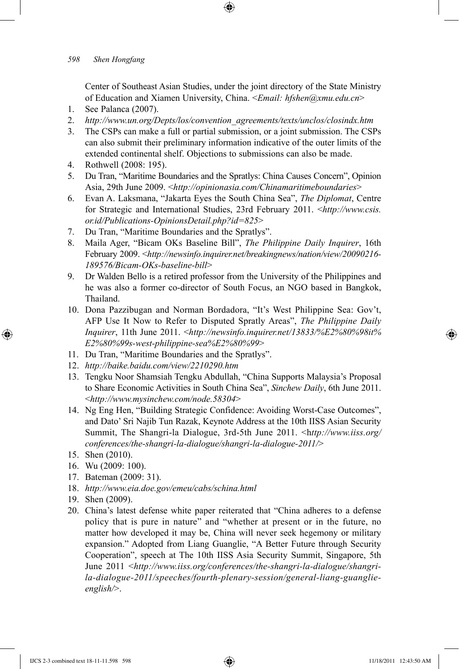Center of Southeast Asian Studies, under the joint directory of the State Ministry of Education and Xiamen University, China. <*Email: hfshen@xmu.edu.cn*>

⊕

- 1. See Palanca (2007).
- 2. *http://www.un.org/Depts/los/convention agreements/texts/unclos/closindx.htm*
- 3. The CSPs can make a full or partial submission, or a joint submission. The CSPs can also submit their preliminary information indicative of the outer limits of the extended continental shelf. Objections to submissions can also be made.
- 4. Rothwell (2008: 195).
- 5. Du Tran, "Maritime Boundaries and the Spratlys: China Causes Concern", Opinion Asia, 29th June 2009. <*http://opinionasia.com/Chinamaritimeboundaries*>
- 6. Evan A. Laksmana, "Jakarta Eyes the South China Sea", *The Diplomat*, Centre for Strategic and International Studies, 23rd February 2011. <*http://www.csis. or.id/Publications-OpinionsDetail.php?id=825*>
- 7. Du Tran, "Maritime Boundaries and the Spratlys".
- 8. Maila Ager, "Bicam OKs Baseline Bill", *The Philippine Daily Inquirer*, 16th February 2009. <*http://newsinfo.inquirer.net/breakingnews/nation/view/20090216- 189576/Bicam-OKs-baseline-bill*>
- 9. Dr Walden Bello is a retired professor from the University of the Philippines and he was also a former co-director of South Focus, an NGO based in Bangkok, Thailand.
- 10. Dona Pazzibugan and Norman Bordadora, "It's West Philippine Sea: Gov't, AFP Use It Now to Refer to Disputed Spratly Areas", *The Philippine Daily Inquirer*, 11th June 2011. <*http://newsinfo.inquirer.net/13833/%E2%80%98it% E2%80%99s-west-philippine-sea%E2%80%99*>
- 11. Du Tran, "Maritime Boundaries and the Spratlys".
- 12. *http://baike.baidu.com/view/2210290.htm*
- 13. Tengku Noor Shamsiah Tengku Abdullah, "China Supports Malaysia's Proposal to Share Economic Activities in South China Sea", *Sinchew Daily*, 6th June 2011. <*http://www.mysinchew.com/node.58304*>
- 14. Ng Eng Hen, "Building Strategic Confidence: Avoiding Worst-Case Outcomes", and Dato' Sri Najib Tun Razak, Keynote Address at the 10th IISS Asian Security Summit, The Shangri-la Dialogue, 3rd-5th June 2011. <h*ttp://www.iiss.org/ conferences/the-shangri-la-dialogue/shangri-la-dialogue-2011/*>
- 15. Shen (2010).

⊕

- 16. Wu (2009: 100).
- 17. Bateman (2009: 31).
- 18. *http://www.eia.doe.gov/emeu/cabs/schina.html*
- 19. Shen (2009).
- 20. China's latest defense white paper reiterated that "China adheres to a defense policy that is pure in nature" and "whether at present or in the future, no matter how developed it may be, China will never seek hegemony or military expansion." Adopted from Liang Guanglie, "A Better Future through Security Cooperation", speech at The 10th IISS Asia Security Summit, Singapore, 5th June 2011 <*http://www.iiss.org/conferences/the-shangri-la-dialogue/shangrila-dialogue-2011/speeches/fourth-plenary-session/general-liang-guanglieenglish/*>.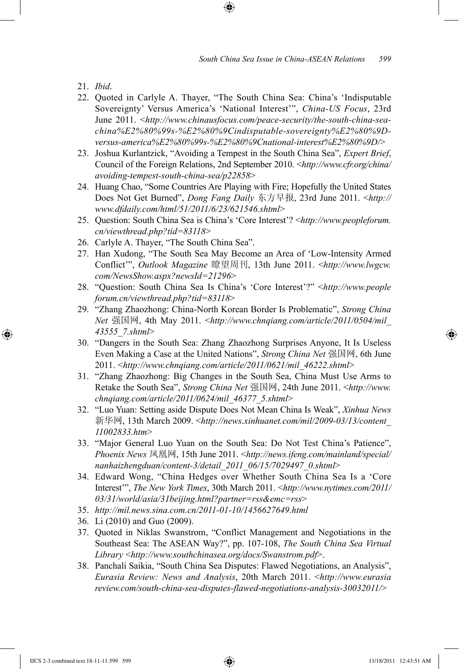21. *Ibid*.

⊕

22. Quoted in Carlyle A. Thayer, "The South China Sea: China's 'Indisputable Sovereignty' Versus America's 'National Interest'", *China-US Focus*, 23rd June 2011. <*http://www.chinausfocus.com/peace-security/the-south-china-seachina%E2%80%99s-%E2%80%9Cindisputable-sovereignty%E2%80%9Dversus-america%E2%80%99s-%E2%80%9Cnational-interest%E2%80%9D/*>

⊕

- 23. Joshua Kurlantzick, "Avoiding a Tempest in the South China Sea", *Expert Brief*, Council of the Foreign Relations, 2nd September 2010. <*http://www.cfr.org/china/ avoiding-tempest-south-china-sea/p22858*>
- 24. Huang Chao, "Some Countries Are Playing with Fire; Hopefully the United States Does Not Get Burned", *Dong Fang Daily* 东方早报, 23rd June 2011. <*http:// www.dfdaily.com/html/51/2011/6/23/621546.shtml*>
- 25. Question: South China Sea is China's 'Core Interest'? <*http://www.peopleforum. cn/viewthread.php?tid=83118*>
- 26. Carlyle A. Thayer, "The South China Sea".
- 27. Han Xudong, "The South Sea May Become an Area of 'Low-Intensity Armed Conflict'", *Outlook Magazine* 瞭望周刊, 13th June 2011. <*http://www.lwgcw. com/NewsShow.aspx?newsId=21296*>
- 28. "Question: South China Sea Is China's 'Core Interest'?" <*http://www.people forum.cn/viewthread.php?tid=83118*>
- 29. "Zhang Zhaozhong: China-North Korean Border Is Problematic", *Strong China Net* 强国网, 4th May 2011. <*http://www.chnqiang.com/article/2011/0504/mil\_ 43555\_7.shtml*>
- 30. "Dangers in the South Sea: Zhang Zhaozhong Surprises Anyone, It Is Useless Even Making a Case at the United Nations", *Strong China Net* 强国网, 6th June 2011. <*http://www.chnqiang.com/article/2011/0621/mil\_46222.shtml*>
- 31. "Zhang Zhaozhong: Big Changes in the South Sea, China Must Use Arms to Retake the South Sea", *Strong China Net* 强国网, 24th June 2011. <*http://www. chnqiang.com/article/2011/0624/mil\_46377\_5.shtml*>
- 32. "Luo Yuan: Setting aside Dispute Does Not Mean China Is Weak", *Xinhua News*  新华网, 13th March 2009. <*http://news.xinhuanet.com/mil/2009-03/13/content\_ 11002833.htm*>
- 33. "Major General Luo Yuan on the South Sea: Do Not Test China's Patience", *Phoenix News* 凤凰网, 15th June 2011. <*http://news.ifeng.com/mainland/special/ nanhaizhengduan/content-3/detail\_2011\_06/15/7029497\_0.shtml*>
- 34. Edward Wong, "China Hedges over Whether South China Sea Is a 'Core Interest'", *The New York Times*, 30th March 2011. <*http://www.nytimes.com/2011/ 03/31/world/asia/31beijing.html?partner=rss&emc=rss*>
- 35. *http://mil.news.sina.com.cn/2011-01-10/1456627649.html*
- 36. Li (2010) and Guo (2009).
- 37. Quoted in Niklas Swanstrom, "Conflict Management and Negotiations in the Southeast Sea: The ASEAN Way?", pp. 107-108, *The South China Sea Virtual Library* <*http://www.southchinasea.org/docs/Swanstrom.pdf*>.
- 38. Panchali Saikia, "South China Sea Disputes: Flawed Negotiations, an Analysis", *Eurasia Review: News and Analysis*, 20th March 2011. <*http://www.eurasia review.com/south-china-sea-disputes-flawed-negotiations-analysis-30032011/*>